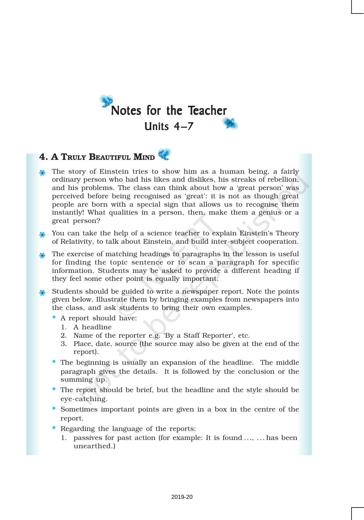

# 4. A TRULY BEAUTIFUL MIND

- The story of Einstein tries to show him as a human being, a fairly ordinary person who had his likes and dislikes, his streaks of rebellion, and his problems. The class can think about how a 'great person' was perceived before being recognised as 'great': it is not as though great people are born with a special sign that allows us to recognise them instantly! What qualities in a person, then, make them a genius or a great person?
- You can take the help of a science teacher to explain Einstein's Theory of Relativity, to talk about Einstein, and build inter-subject cooperation.
- The exercise of matching headings to paragraphs in the lesson is useful for finding the topic sentence or to scan a paragraph for specific information. Students may be asked to provide a different heading if they feel some other point is equally important.
- Students should be guided to write a newspaper report. Note the points given below. Illustrate them by bringing examples from newspapers into the class, and ask students to bring their own examples.
	- A report should have:
		- 1. A headline
		- 2. Name of the reporter e.g. 'By a Staff Reporter', etc.
		- 3. Place, date, source (the source may also be given at the end of the report).
	- The beginning is usually an expansion of the headline. The middle paragraph gives the details. It is followed by the conclusion or the summing up.
	- The report should be brief, but the headline and the style should be eye-catching.
	- Sometimes important points are given in a box in the centre of the report.
	- Regarding the language of the reports:
		- 1. passives for past action (for example: It is found ..., ... has been unearthed.)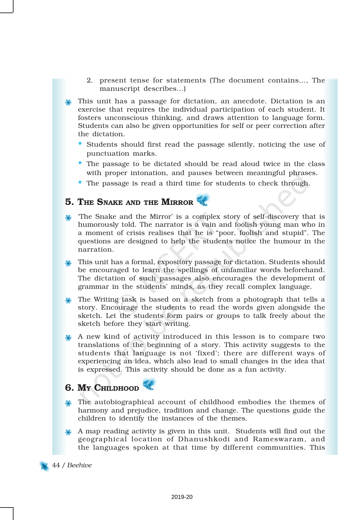- 2. present tense for statements (The document contains…, The manuscript describes…)
- This unit has a passage for dictation, an anecdote. Dictation is an exercise that requires the individual participation of each student. It fosters unconscious thinking, and draws attention to language form. Students can also be given opportunities for self or peer correction after the dictation.
	- Students should first read the passage silently, noticing the use of punctuation marks.
	- The passage to be dictated should be read aloud twice in the class with proper intonation, and pauses between meaningful phrases.
	- The passage is read a third time for students to check through.

## 5. THE SNAKE AND THE MIRROR

- 'The Snake and the Mirror' is a complex story of self-discovery that is humorously told. The narrator is a vain and foolish young man who in a moment of crisis realises that he is "poor, foolish and stupid". The questions are designed to help the students notice the humour in the narration.
- This unit has a formal, expository passage for dictation. Students should be encouraged to learn the spellings of unfamiliar words beforehand. The dictation of such passages also encourages the development of grammar in the students' minds, as they recall complex language.
- The Writing task is based on a sketch from a photograph that tells a story. Encourage the students to read the words given alongside the sketch. Let the students form pairs or groups to talk freely about the sketch before they start writing.
- A new kind of activity introduced in this lesson is to compare two translations of the beginning of a story. This activity suggests to the students that language is not 'fixed'; there are different ways of experiencing an idea, which also lead to small changes in the idea that is expressed. This activity should be done as a fun activity.

### 6. My CHILDHOOD

- The autobiographical account of childhood embodies the themes of harmony and prejudice, tradition and change. The questions guide the children to identify the instances of the themes.
- A map reading activity is given in this unit. Students will find out the geographical location of Dhanushkodi and Rameswaram, and the languages spoken at that time by different communities. This

44 / *Beehive*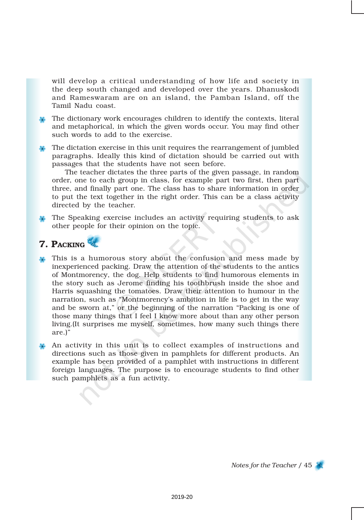will develop a critical understanding of how life and society in the deep south changed and developed over the years. Dhanuskodi and Rameswaram are on an island, the Pamban Island, off the Tamil Nadu coast.

- The dictionary work encourages children to identify the contexts, literal and metaphorical, in which the given words occur. You may find other such words to add to the exercise.
- The dictation exercise in this unit requires the rearrangement of jumbled paragraphs. Ideally this kind of dictation should be carried out with passages that the students have not seen before.

The teacher dictates the three parts of the given passage, in random order, one to each group in class, for example part two first, then part three, and finally part one. The class has to share information in order to put the text together in the right order. This can be a class activity directed by the teacher.

The Speaking exercise includes an activity requiring students to ask other people for their opinion on the topic.

## **7. PACKING**

This is a humorous story about the confusion and mess made by inexperienced packing. Draw the attention of the students to the antics of Montmorency, the dog. Help students to find humorous elements in the story such as Jerome finding his toothbrush inside the shoe and Harris squashing the tomatoes. Draw their attention to humour in the narration, such as "Montmorency's ambition in life is to get in the way and be sworn at," or the beginning of the narration "Packing is one of those many things that I feel I know more about than any other person living.(It surprises me myself, sometimes, how many such things there are.)"

An activity in this unit is to collect examples of instructions and directions such as those given in pamphlets for different products. An example has been provided of a pamphlet with instructions in different foreign languages. The purpose is to encourage students to find other such pamphlets as a fun activity.

*Notes for the Teacher* / 45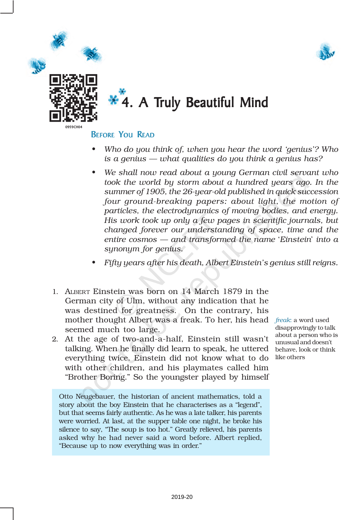



# \* 4. A Truly Beautiful Mind

### BEFORE YOU READ

- *• Who do you think of, when you hear the word 'genius'? Who is a genius — what qualities do you think a genius has?*
- *• We shall now read about a young German civil servant who took the world by storm about a hundred years ago. In the summer of 1905, the 26-year-old published in quick succession four ground-breaking papers: about light, the motion of particles, the electrodynamics of moving bodies, and energy. His work took up only a few pages in scientific journals, but changed forever our understanding of space, time and the entire cosmos — and transformed the name* '*Einstein*' *into a synonym for genius.*
- *• Fifty years after his death, Albert Einstein's genius still reigns.*
- 1. ALBERT Einstein was born on 14 March 1879 in the German city of Ulm, without any indication that he was destined for greatness. On the contrary, his mother thought Albert was a freak. To her, his head *freak*: a word used seemed much too large.
- 2. At the age of two-and-a-half, Einstein still wasn't talking. When he finally did learn to speak, he uttered everything twice. Einstein did not know what to do with other children, and his playmates called him "Brother Boring." So the youngster played by himself

Otto Neugebauer, the historian of ancient mathematics, told a story about the boy Einstein that he characterises as a "legend", but that seems fairly authentic. As he was a late talker, his parents were worried. At last, at the supper table one night, he broke his silence to say, "The soup is too hot." Greatly relieved, his parents asked why he had never said a word before. Albert replied, "Because up to now everything was in order."

disapprovingly to talk about a person who is unusual and doesn't behave, look or think like others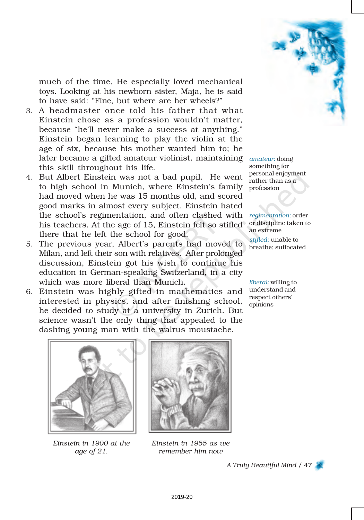

much of the time. He especially loved mechanical toys. Looking at his newborn sister, Maja, he is said to have said: "Fine, but where are her wheels?"

- 3. A headmaster once told his father that what Einstein chose as a profession wouldn't matter, because "he'll never make a success at anything." Einstein began learning to play the violin at the age of six, because his mother wanted him to; he later became a gifted amateur violinist, maintaining *amateur*: doing this skill throughout his life.
- 4. But Albert Einstein was not a bad pupil. He went to high school in Munich, where Einstein's family had moved when he was 15 months old, and scored good marks in almost every subject. Einstein hated the school's regimentation, and often clashed with his teachers. At the age of 15, Einstein felt so stifled there that he left the school for good.
- 5. The previous year, Albert's parents had moved to Milan, and left their son with relatives. After prolonged discussion, Einstein got his wish to continue his education in German-speaking Switzerland, in a city which was more liberal than Munich.
- 6. Einstein was highly gifted in mathematics and interested in physics, and after finishing school, he decided to study at a university in Zurich. But science wasn't the only thing that appealed to the dashing young man with the walrus moustache.

something for personal enjoyment rather than as a profession

*regimentation*: order or discipline taken to an extreme

*stifled*: unable to breathe; suffocated

*liberal*: willing to understand and respect others' opinions



*Einstein in 1900 at the age of 21.*



*Einstein in 1955 as we remember him now*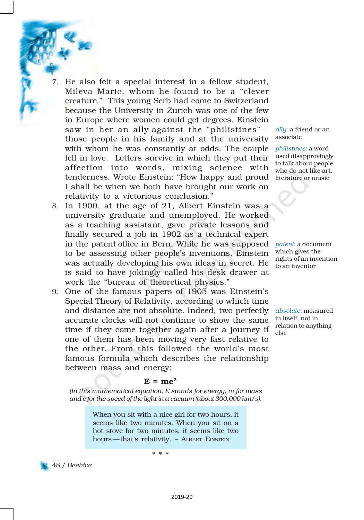- 7. He also felt a special interest in a fellow student, Mileva Maric, whom he found to be a "clever creature." This young Serb had come to Switzerland because the University in Zurich was one of the few in Europe where women could get degrees. Einstein saw in her an ally against the "philistines" those people in his family and at the university with whom he was constantly at odds. The couple fell in love. Letters survive in which they put their affection into words, mixing science with tenderness. Wrote Einstein: "How happy and proud I shall be when we both have brought our work on relativity to a victorious conclusion."
- 8. In 1900, at the age of 21, Albert Einstein was a university graduate and unemployed. He worked as a teaching assistant, gave private lessons and finally secured a job in 1902 as a technical expert in the patent office in Bern. While he was supposed *patent*: a document to be assessing other people's inventions, Einstein was actually developing his own ideas in secret. He is said to have jokingly called his desk drawer at work the "bureau of theoretical physics."
- 9. One of the famous papers of 1905 was Einstein's Special Theory of Relativity, according to which time and distance are not absolute. Indeed, two perfectly accurate clocks will not continue to show the same time if they come together again after a journey if one of them has been moving very fast relative to the other. From this followed the world's most famous formula which describes the relationship between mass and energy:

#### *ally*: a friend or an associate

*philistines*: a word used disapprovingly to talk about people who do not like art, literature or music

which gives the rights of an invention to an inventor

*absolute*: measured in itself, not in relation to anything else

### $E = mc^2$

*(In this mathematical equation, E stands for energy, m for mass and c for the speed of the light in a vacuum (about 300,000 km/s)*.

> When you sit with a nice girl for two hours, it seems like two minutes. When you sit on a hot stove for two minutes, it seems like two hours—that's relativity. - ALBERT EINSTEIN

> > \* \* \*

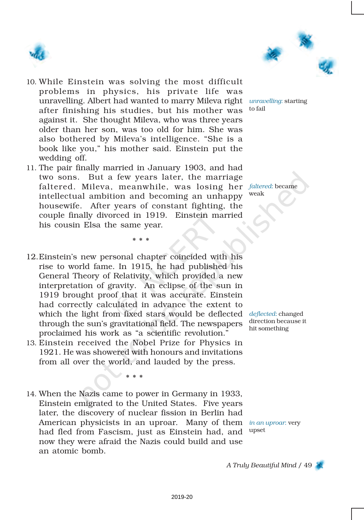



- 10. While Einstein was solving the most difficult problems in physics, his private life was unravelling. Albert had wanted to marry Mileva right *unravelling*: starting after finishing his studies, but his mother was against it. She thought Mileva, who was three years older than her son, was too old for him. She was also bothered by Mileva's intelligence. "She is a book like you," his mother said. Einstein put the wedding off.
- 11. The pair finally married in January 1903, and had two sons. But a few years later, the marriage faltered. Mileva, meanwhile, was losing her *faltered*: became intellectual ambition and becoming an unhappy housewife. After years of constant fighting, the couple finally divorced in 1919. Einstein married his cousin Elsa the same year.

\* \* \*

- 12.Einstein's new personal chapter coincided with his rise to world fame. In 1915, he had published his General Theory of Relativity, which provided a new interpretation of gravity. An eclipse of the sun in 1919 brought proof that it was accurate. Einstein had correctly calculated in advance the extent to which the light from fixed stars would be deflected *deflected*: changed through the sun's gravitational field. The newspapers proclaimed his work as "a scientific revolution."
- 13. Einstein received the Nobel Prize for Physics in 1921. He was showered with honours and invitations from all over the world, and lauded by the press.

\* \* \*

14. When the Nazis came to power in Germany in 1933, Einstein emigrated to the United States. Five years later, the discovery of nuclear fission in Berlin had American physicists in an uproar. Many of them *in an uproar*: very had fled from Fascism, just as Einstein had, and now they were afraid the Nazis could build and use an atomic bomb.

to fail

weak

direction because it hit something

upset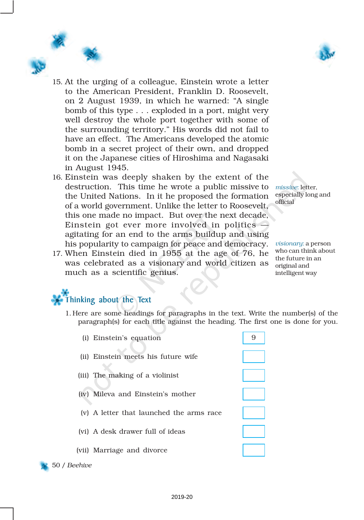

- 15. At the urging of a colleague, Einstein wrote a letter to the American President, Franklin D. Roosevelt, on 2 August 1939, in which he warned: "A single bomb of this type . . . exploded in a port, might very well destroy the whole port together with some of the surrounding territory." His words did not fail to have an effect. The Americans developed the atomic bomb in a secret project of their own, and dropped it on the Japanese cities of Hiroshima and Nagasaki in August 1945.
- 16. Einstein was deeply shaken by the extent of the destruction. This time he wrote a public missive to the United Nations. In it he proposed the formation of a world government. Unlike the letter to Roosevelt, this one made no impact. But over the next decade, Einstein got ever more involved in politics  $$ agitating for an end to the arms buildup and using his popularity to campaign for peace and democracy.
- 17. When Einstein died in 1955 at the age of 76, he was celebrated as a visionary and world citizen as much as a scientific genius.

*missive*: letter, especially long and official

*visionary*: a person who can think about the future in an original and intelligent way

# Thinking about the Text

1. Here are some headings for paragraphs in the text. Write the number(s) of the paragraph(s) for each title against the heading. The first one is done for you.

| (i) Einstein's equation                  |  |
|------------------------------------------|--|
| (ii) Einstein meets his future wife      |  |
| (iii) The making of a violinist          |  |
| (iv) Mileva and Einstein's mother        |  |
| (v) A letter that launched the arms race |  |
|                                          |  |

(vi) A desk drawer full of ideas

(vii) Marriage and divorce



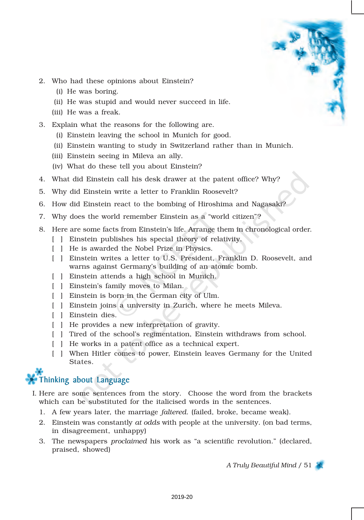- 2. Who had these opinions about Einstein?
	- (i) He was boring.
	- (ii) He was stupid and would never succeed in life.
	- (iii) He was a freak.
- 3. Explain what the reasons for the following are.
	- (i) Einstein leaving the school in Munich for good.
	- (ii) Einstein wanting to study in Switzerland rather than in Munich.
	- (iii) Einstein seeing in Mileva an ally.
	- (iv) What do these tell you about Einstein?
- 4. What did Einstein call his desk drawer at the patent office? Why?
- 5. Why did Einstein write a letter to Franklin Roosevelt?
- 6. How did Einstein react to the bombing of Hiroshima and Nagasaki?
- 7. Why does the world remember Einstein as a "world citizen"?
- 8. Here are some facts from Einstein's life. Arrange them in chronological order.
	- [ ] Einstein publishes his special theory of relativity.
	- [ ] He is awarded the Nobel Prize in Physics.
	- [ ] Einstein writes a letter to U.S. President, Franklin D. Roosevelt, and warns against Germany's building of an atomic bomb.
	- [ ] Einstein attends a high school in Munich.
	- [ ] Einstein's family moves to Milan.
	- [ ] Einstein is born in the German city of Ulm.
	- [ ] Einstein joins a university in Zurich, where he meets Mileva.
	- [ ] Einstein dies.
	- [ ] He provides a new interpretation of gravity.
	- [ ] Tired of the school's regimentation, Einstein withdraws from school.
	- [ ] He works in a patent office as a technical expert.
	- [ ] When Hitler comes to power, Einstein leaves Germany for the United States.

# Thinking about Language

- I. Here are some sentences from the story. Choose the word from the brackets which can be substituted for the italicised words in the sentences.
	- 1. A few years later, the marriage *faltered*. (failed, broke, became weak).
	- 2. Einstein was constantly *at odds* with people at the university. (on bad terms, in disagreement, unhappy)
	- 3. The newspapers *proclaimed* his work as "a scientific revolution." (declared, praised, showed)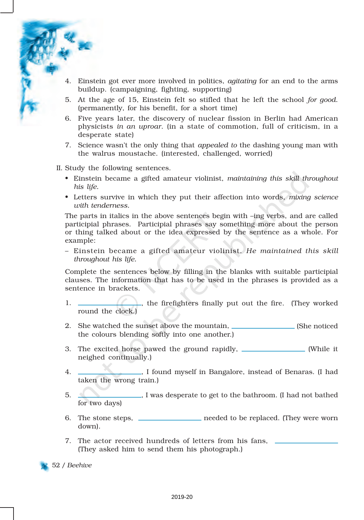- 4. Einstein got ever more involved in politics, *agitating* for an end to the arms buildup. (campaigning, fighting, supporting)
- 5. At the age of 15, Einstein felt so stifled that he left the school *for good*. (permanently, for his benefit, for a short time)
- 6. Five years later, the discovery of nuclear fission in Berlin had American physicists *in an uproar*. (in a state of commotion, full of criticism, in a desperate state)
- 7. Science wasn't the only thing that *appealed to* the dashing young man with the walrus moustache. (interested, challenged, worried)
- II. Study the following sentences.
	- Einstein became a gifted amateur violinist, *maintaining this skill throughout his life.*
	- Letters survive in which they put their affection into words, *mixing science with tenderness.*

The parts in italics in the above sentences begin with –ing verbs, and are called participial phrases. Participial phrases say something more about the person or thing talked about or the idea expressed by the sentence as a whole. For example:

– Einstein became a gifted amateur violinist. *He maintained this skill throughout his life.*

Complete the sentences below by filling in the blanks with suitable participial clauses. The information that has to be used in the phrases is provided as a sentence in brackets.

- 1. , the firefighters finally put out the fire. (They worked round the clock.)
- 2. She watched the sunset above the mountain, (She noticed the colours blending softly into one another.)
- 3. The excited horse pawed the ground rapidly, \_\_\_\_\_\_\_\_\_\_\_\_\_\_\_ (While it neighed continually.)
- 4. , I found myself in Bangalore, instead of Benaras. (I had taken the wrong train.)
- 5. , I was desperate to get to the bathroom. (I had not bathed for two days)
- 6. The stone steps, needed to be replaced. (They were worn down).
- 7. The actor received hundreds of letters from his fans, (They asked him to send them his photograph.)

52 / *Beehive*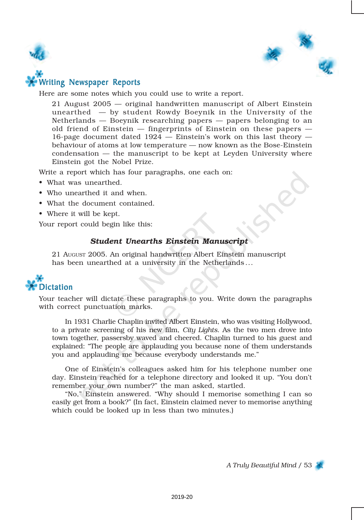



### Writing Newspaper Reports

Here are some notes which you could use to write a report.

21 August 2005 — original handwritten manuscript of Albert Einstein unearthed — by student Rowdy Boeynik in the University of the Netherlands — Boeynik researching papers — papers belonging to an old friend of Einstein — fingerprints of Einstein on these papers — 16-page document dated 1924 — Einstein's work on this last theory behaviour of atoms at low temperature — now known as the Bose-Einstein condensation — the manuscript to be kept at Leyden University where Einstein got the Nobel Prize.

Write a report which has four paragraphs, one each on:

- What was unearthed.
- Who unearthed it and when.
- What the document contained.
- Where it will be kept.

Your report could begin like this:

#### *Student Unearths Einstein Manuscript*

21 AUGUST 2005. An original handwritten Albert Einstein manuscript has been unearthed at a university in the Netherlands ...



Your teacher will dictate these paragraphs to you. Write down the paragraphs with correct punctuation marks.

In 1931 Charlie Chaplin invited Albert Einstein, who was visiting Hollywood, to a private screening of his new film, *City Lights*. As the two men drove into town together, passersby waved and cheered. Chaplin turned to his guest and explained: "The people are applauding you because none of them understands you and applauding me because everybody understands me."

One of Einstein's colleagues asked him for his telephone number one day. Einstein reached for a telephone directory and looked it up. "You don't remember your own number?" the man asked, startled.

"No," Einstein answered. "Why should I memorise something I can so easily get from a book?" (In fact, Einstein claimed never to memorise anything which could be looked up in less than two minutes.)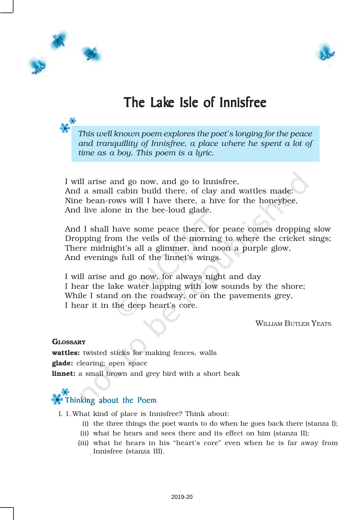



# The Lake Isle of Innisfree

*This well known poem explores the poet's longing for the peace and tranquillity of Innisfree, a place where he spent a lot of time as a boy. This poem is a lyric.*

I will arise and go now, and go to Innisfree, And a small cabin build there, of clay and wattles made: Nine bean-rows will I have there, a hive for the honeybee, And live alone in the bee-loud glade.

And I shall have some peace there, for peace comes dropping slow Dropping from the veils of the morning to where the cricket sings; There midnight's all a glimmer, and noon a purple glow, And evenings full of the linnet's wings.

I will arise and go now, for always night and day I hear the lake water lapping with low sounds by the shore; While I stand on the roadway, or on the pavements grey, I hear it in the deep heart's core.

WILLIAM BUTLER YEATS

#### **GLOSSARY**

wattles: twisted sticks for making fences, walls glade: clearing; open space linnet: a small brown and grey bird with a short beak

# Thinking about the Poem

I. 1.What kind of place is Innisfree? Think about:

- (i) the three things the poet wants to do when he goes back there (stanza I);
- (ii) what he hears and sees there and its effect on him (stanza II);
- (iii) what he hears in his "heart's core" even when he is far away from Innisfree (stanza III).